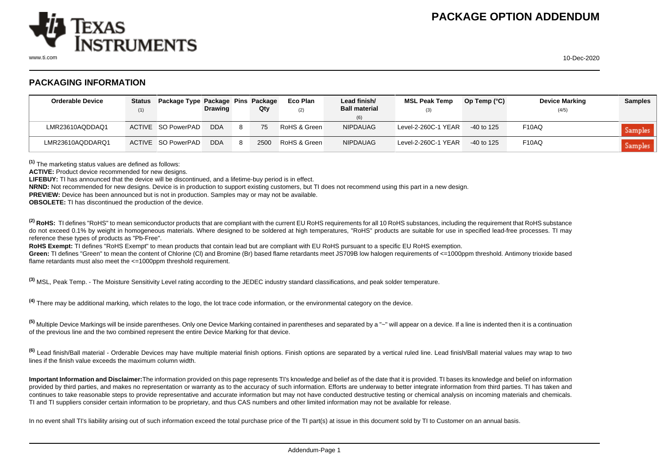

www.ti.com 10-Dec-2020

## **PACKAGING INFORMATION**

| <b>Orderable Device</b> | (1) | Status Package Type Package Pins Package | <b>Drawing</b> |    | Qty  | Eco Plan<br>(2) | Lead finish/<br><b>Ball material</b><br>(6) | <b>MSL Peak Temp</b><br>(3) | Op Temp $(^{\circ}C)$ | <b>Device Marking</b><br>(4/5) | <b>Samples</b> |
|-------------------------|-----|------------------------------------------|----------------|----|------|-----------------|---------------------------------------------|-----------------------------|-----------------------|--------------------------------|----------------|
| LMR23610AQDDAQ1         |     | ACTIVE SO PowerPAD                       | <b>DDA</b>     |    | 75   | RoHS & Green    | <b>NIPDAUAG</b>                             | Level-2-260C-1 YEAR         | $-40$ to 125          | F <sub>10</sub> AQ             | Samples        |
| LMR23610AQDDARQ1        |     | ACTIVE SO PowerPAD                       | <b>DDA</b>     | -8 | 2500 | RoHS & Green    | <b>NIPDAUAG</b>                             | Level-2-260C-1 YEAR         | $-40$ to 125          | F <sub>10</sub> AQ             | Samples        |

**(1)** The marketing status values are defined as follows:

**ACTIVE:** Product device recommended for new designs.

**LIFEBUY:** TI has announced that the device will be discontinued, and a lifetime-buy period is in effect.

**NRND:** Not recommended for new designs. Device is in production to support existing customers, but TI does not recommend using this part in a new design.

**PREVIEW:** Device has been announced but is not in production. Samples may or may not be available.

**OBSOLETE:** TI has discontinued the production of the device.

<sup>(2)</sup> RoHS: TI defines "RoHS" to mean semiconductor products that are compliant with the current EU RoHS requirements for all 10 RoHS substances, including the requirement that RoHS substance do not exceed 0.1% by weight in homogeneous materials. Where designed to be soldered at high temperatures. "RoHS" products are suitable for use in specified lead-free processes. TI may reference these types of products as "Pb-Free".

**RoHS Exempt:** TI defines "RoHS Exempt" to mean products that contain lead but are compliant with EU RoHS pursuant to a specific EU RoHS exemption.

Green: TI defines "Green" to mean the content of Chlorine (CI) and Bromine (Br) based flame retardants meet JS709B low halogen requirements of <=1000ppm threshold. Antimony trioxide based flame retardants must also meet the <=1000ppm threshold requirement.

**(3)** MSL, Peak Temp. - The Moisture Sensitivity Level rating according to the JEDEC industry standard classifications, and peak solder temperature.

**(4)** There may be additional marking, which relates to the logo, the lot trace code information, or the environmental category on the device.

**(5)** Multiple Device Markings will be inside parentheses. Only one Device Marking contained in parentheses and separated by a "~" will appear on a device. If a line is indented then it is a continuation of the previous line and the two combined represent the entire Device Marking for that device.

**(6)** Lead finish/Ball material - Orderable Devices may have multiple material finish options. Finish options are separated by a vertical ruled line. Lead finish/Ball material values may wrap to two lines if the finish value exceeds the maximum column width.

**Important Information and Disclaimer:**The information provided on this page represents TI's knowledge and belief as of the date that it is provided. TI bases its knowledge and belief on information provided by third parties, and makes no representation or warranty as to the accuracy of such information. Efforts are underway to better integrate information from third parties. TI has taken and continues to take reasonable steps to provide representative and accurate information but may not have conducted destructive testing or chemical analysis on incoming materials and chemicals. TI and TI suppliers consider certain information to be proprietary, and thus CAS numbers and other limited information may not be available for release.

In no event shall TI's liability arising out of such information exceed the total purchase price of the TI part(s) at issue in this document sold by TI to Customer on an annual basis.